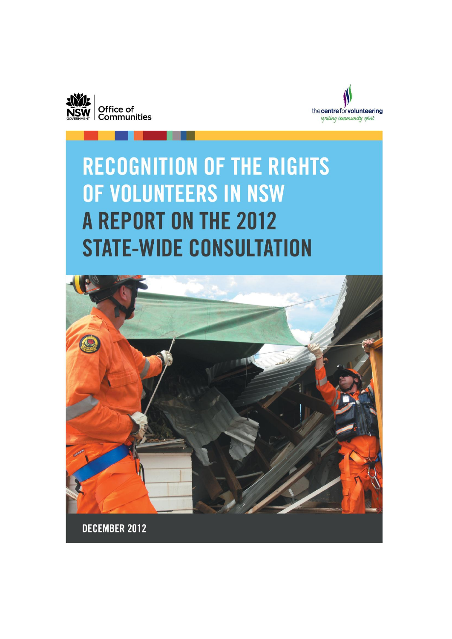



# **RECOGNITION OF THE RIGHTS** OF VOLUNTEERS IN NSW **A REPORT ON THE 2012 STATE-WIDE CONSULTATION**



DECEMBER 2012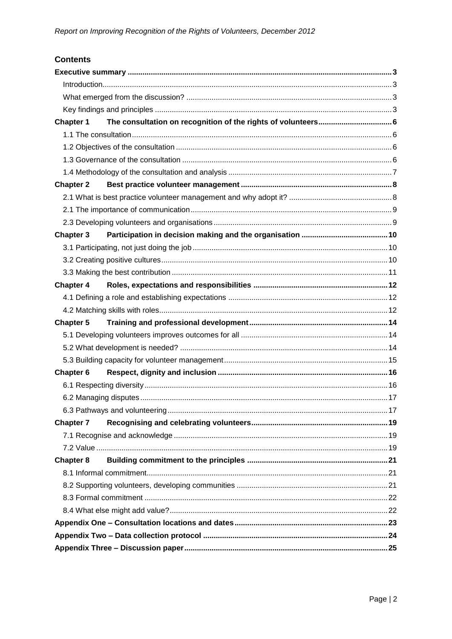# **Contents**

| <b>Chapter 1</b> |  |  |  |
|------------------|--|--|--|
|                  |  |  |  |
|                  |  |  |  |
|                  |  |  |  |
|                  |  |  |  |
| <b>Chapter 2</b> |  |  |  |
|                  |  |  |  |
|                  |  |  |  |
|                  |  |  |  |
| <b>Chapter 3</b> |  |  |  |
|                  |  |  |  |
|                  |  |  |  |
|                  |  |  |  |
| <b>Chapter 4</b> |  |  |  |
|                  |  |  |  |
|                  |  |  |  |
| <b>Chapter 5</b> |  |  |  |
|                  |  |  |  |
|                  |  |  |  |
|                  |  |  |  |
| <b>Chapter 6</b> |  |  |  |
|                  |  |  |  |
|                  |  |  |  |
|                  |  |  |  |
| <b>Chapter 7</b> |  |  |  |
|                  |  |  |  |
|                  |  |  |  |
| <b>Chapter 8</b> |  |  |  |
|                  |  |  |  |
|                  |  |  |  |
|                  |  |  |  |
|                  |  |  |  |
|                  |  |  |  |
|                  |  |  |  |
|                  |  |  |  |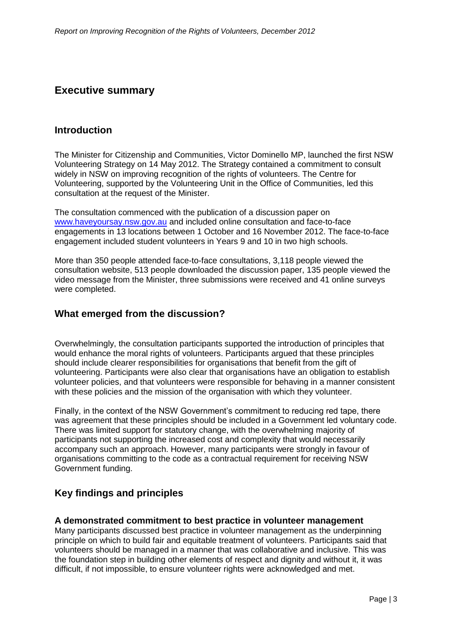# <span id="page-2-0"></span>**Executive summary**

#### <span id="page-2-1"></span>**Introduction**

The Minister for Citizenship and Communities, Victor Dominello MP, launched the first NSW Volunteering Strategy on 14 May 2012. The Strategy contained a commitment to consult widely in NSW on improving recognition of the rights of volunteers. The Centre for Volunteering, supported by the Volunteering Unit in the Office of Communities, led this consultation at the request of the Minister.

The consultation commenced with the publication of a discussion paper on [www.haveyoursay.nsw.gov.au](http://www.haveyoursay.nsw.gov.au/) and included online consultation and face-to-face engagements in 13 locations between 1 October and 16 November 2012. The face-to-face engagement included student volunteers in Years 9 and 10 in two high schools.

More than 350 people attended face-to-face consultations, 3,118 people viewed the consultation website, 513 people downloaded the discussion paper, 135 people viewed the video message from the Minister, three submissions were received and 41 online surveys were completed.

#### <span id="page-2-2"></span>**What emerged from the discussion?**

Overwhelmingly, the consultation participants supported the introduction of principles that would enhance the moral rights of volunteers. Participants argued that these principles should include clearer responsibilities for organisations that benefit from the gift of volunteering. Participants were also clear that organisations have an obligation to establish volunteer policies, and that volunteers were responsible for behaving in a manner consistent with these policies and the mission of the organisation with which they volunteer.

Finally, in the context of the NSW Government's commitment to reducing red tape, there was agreement that these principles should be included in a Government led voluntary code. There was limited support for statutory change, with the overwhelming majority of participants not supporting the increased cost and complexity that would necessarily accompany such an approach. However, many participants were strongly in favour of organisations committing to the code as a contractual requirement for receiving NSW Government funding.

# <span id="page-2-3"></span>**Key findings and principles**

#### **A demonstrated commitment to best practice in volunteer management**

Many participants discussed best practice in volunteer management as the underpinning principle on which to build fair and equitable treatment of volunteers. Participants said that volunteers should be managed in a manner that was collaborative and inclusive. This was the foundation step in building other elements of respect and dignity and without it, it was difficult, if not impossible, to ensure volunteer rights were acknowledged and met.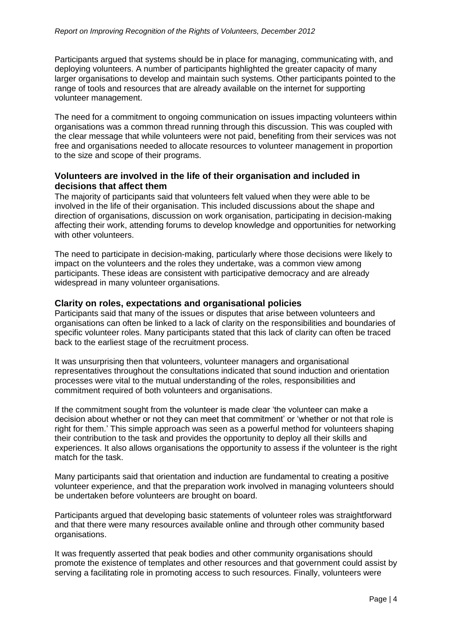Participants argued that systems should be in place for managing, communicating with, and deploying volunteers. A number of participants highlighted the greater capacity of many larger organisations to develop and maintain such systems. Other participants pointed to the range of tools and resources that are already available on the internet for supporting volunteer management.

The need for a commitment to ongoing communication on issues impacting volunteers within organisations was a common thread running through this discussion. This was coupled with the clear message that while volunteers were not paid, benefiting from their services was not free and organisations needed to allocate resources to volunteer management in proportion to the size and scope of their programs.

#### **Volunteers are involved in the life of their organisation and included in decisions that affect them**

The majority of participants said that volunteers felt valued when they were able to be involved in the life of their organisation. This included discussions about the shape and direction of organisations, discussion on work organisation, participating in decision-making affecting their work, attending forums to develop knowledge and opportunities for networking with other volunteers.

The need to participate in decision-making, particularly where those decisions were likely to impact on the volunteers and the roles they undertake, was a common view among participants. These ideas are consistent with participative democracy and are already widespread in many volunteer organisations.

#### **Clarity on roles, expectations and organisational policies**

Participants said that many of the issues or disputes that arise between volunteers and organisations can often be linked to a lack of clarity on the responsibilities and boundaries of specific volunteer roles. Many participants stated that this lack of clarity can often be traced back to the earliest stage of the recruitment process.

It was unsurprising then that volunteers, volunteer managers and organisational representatives throughout the consultations indicated that sound induction and orientation processes were vital to the mutual understanding of the roles, responsibilities and commitment required of both volunteers and organisations.

If the commitment sought from the volunteer is made clear 'the volunteer can make a decision about whether or not they can meet that commitment' or 'whether or not that role is right for them.' This simple approach was seen as a powerful method for volunteers shaping their contribution to the task and provides the opportunity to deploy all their skills and experiences. It also allows organisations the opportunity to assess if the volunteer is the right match for the task.

Many participants said that orientation and induction are fundamental to creating a positive volunteer experience, and that the preparation work involved in managing volunteers should be undertaken before volunteers are brought on board.

Participants argued that developing basic statements of volunteer roles was straightforward and that there were many resources available online and through other community based organisations.

It was frequently asserted that peak bodies and other community organisations should promote the existence of templates and other resources and that government could assist by serving a facilitating role in promoting access to such resources. Finally, volunteers were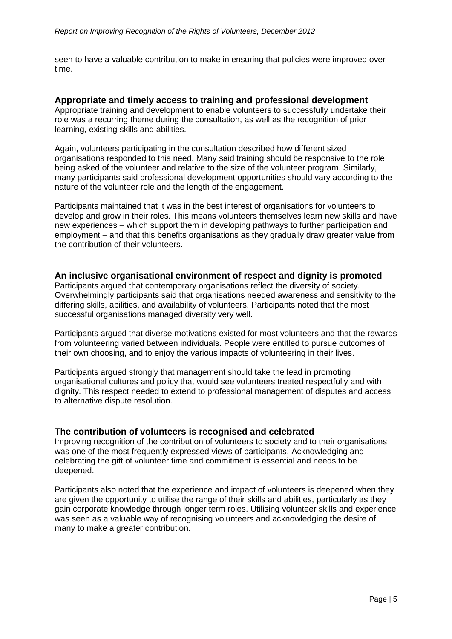seen to have a valuable contribution to make in ensuring that policies were improved over time.

#### **Appropriate and timely access to training and professional development**

Appropriate training and development to enable volunteers to successfully undertake their role was a recurring theme during the consultation, as well as the recognition of prior learning, existing skills and abilities.

Again, volunteers participating in the consultation described how different sized organisations responded to this need. Many said training should be responsive to the role being asked of the volunteer and relative to the size of the volunteer program. Similarly, many participants said professional development opportunities should vary according to the nature of the volunteer role and the length of the engagement.

Participants maintained that it was in the best interest of organisations for volunteers to develop and grow in their roles. This means volunteers themselves learn new skills and have new experiences – which support them in developing pathways to further participation and employment – and that this benefits organisations as they gradually draw greater value from the contribution of their volunteers.

#### **An inclusive organisational environment of respect and dignity is promoted**

Participants argued that contemporary organisations reflect the diversity of society. Overwhelmingly participants said that organisations needed awareness and sensitivity to the differing skills, abilities, and availability of volunteers. Participants noted that the most successful organisations managed diversity very well.

Participants argued that diverse motivations existed for most volunteers and that the rewards from volunteering varied between individuals. People were entitled to pursue outcomes of their own choosing, and to enjoy the various impacts of volunteering in their lives.

Participants argued strongly that management should take the lead in promoting organisational cultures and policy that would see volunteers treated respectfully and with dignity. This respect needed to extend to professional management of disputes and access to alternative dispute resolution.

#### **The contribution of volunteers is recognised and celebrated**

Improving recognition of the contribution of volunteers to society and to their organisations was one of the most frequently expressed views of participants. Acknowledging and celebrating the gift of volunteer time and commitment is essential and needs to be deepened.

Participants also noted that the experience and impact of volunteers is deepened when they are given the opportunity to utilise the range of their skills and abilities, particularly as they gain corporate knowledge through longer term roles. Utilising volunteer skills and experience was seen as a valuable way of recognising volunteers and acknowledging the desire of many to make a greater contribution.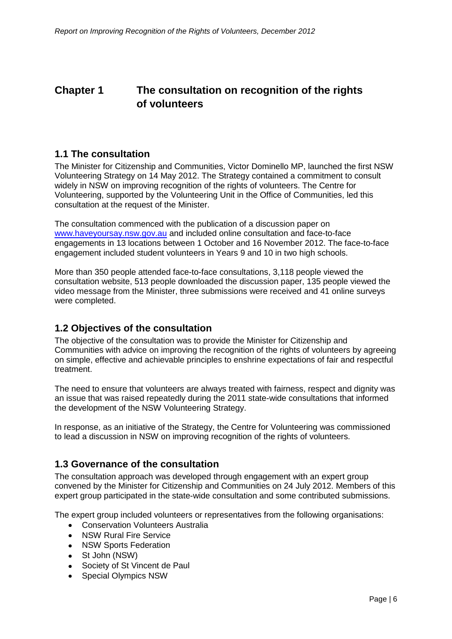# <span id="page-5-0"></span>**Chapter 1 The consultation on recognition of the rights of volunteers**

# <span id="page-5-1"></span>**1.1 The consultation**

The Minister for Citizenship and Communities, Victor Dominello MP, launched the first NSW Volunteering Strategy on 14 May 2012. The Strategy contained a commitment to consult widely in NSW on improving recognition of the rights of volunteers. The Centre for Volunteering, supported by the Volunteering Unit in the Office of Communities, led this consultation at the request of the Minister.

The consultation commenced with the publication of a discussion paper on [www.haveyoursay.nsw.gov.au](http://www.haveyoursay.nsw.gov.au/) and included online consultation and face-to-face engagements in 13 locations between 1 October and 16 November 2012. The face-to-face engagement included student volunteers in Years 9 and 10 in two high schools.

More than 350 people attended face-to-face consultations, 3,118 people viewed the consultation website, 513 people downloaded the discussion paper, 135 people viewed the video message from the Minister, three submissions were received and 41 online surveys were completed.

# <span id="page-5-2"></span>**1.2 Objectives of the consultation**

The objective of the consultation was to provide the Minister for Citizenship and Communities with advice on improving the recognition of the rights of volunteers by agreeing on simple, effective and achievable principles to enshrine expectations of fair and respectful treatment.

The need to ensure that volunteers are always treated with fairness, respect and dignity was an issue that was raised repeatedly during the 2011 state-wide consultations that informed the development of the NSW Volunteering Strategy.

In response, as an initiative of the Strategy, the Centre for Volunteering was commissioned to lead a discussion in NSW on improving recognition of the rights of volunteers.

# <span id="page-5-3"></span>**1.3 Governance of the consultation**

The consultation approach was developed through engagement with an expert group convened by the Minister for Citizenship and Communities on 24 July 2012. Members of this expert group participated in the state-wide consultation and some contributed submissions.

The expert group included volunteers or representatives from the following organisations:

- Conservation Volunteers Australia  $\bullet$
- NSW Rural Fire Service
- NSW Sports Federation  $\bullet$
- St John (NSW)  $\bullet$
- $\bullet$ Society of St Vincent de Paul
- Special Olympics NSW $\bullet$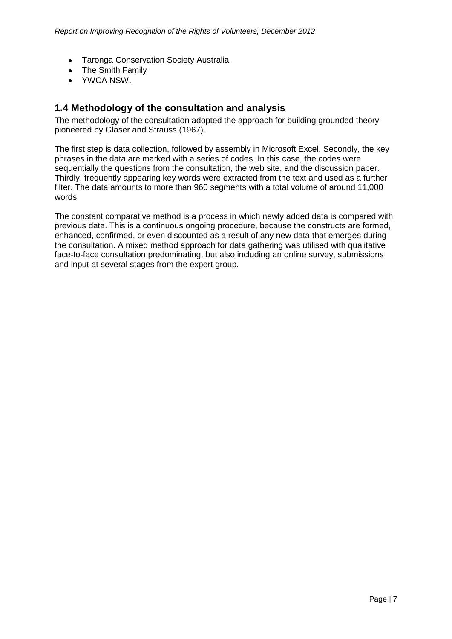- Taronga Conservation Society Australia
- The Smith Family
- YWCA NSW.

## <span id="page-6-0"></span>**1.4 Methodology of the consultation and analysis**

The methodology of the consultation adopted the approach for building grounded theory pioneered by Glaser and Strauss (1967).

The first step is data collection, followed by assembly in Microsoft Excel. Secondly, the key phrases in the data are marked with a series of codes. In this case, the codes were sequentially the questions from the consultation, the web site, and the discussion paper. Thirdly, frequently appearing key words were extracted from the text and used as a further filter. The data amounts to more than 960 segments with a total volume of around 11,000 words.

The constant comparative method is a process in which newly added data is compared with previous data. This is a continuous ongoing procedure, because the constructs are formed, enhanced, confirmed, or even discounted as a result of any new data that emerges during the consultation. A mixed method approach for data gathering was utilised with qualitative face-to-face consultation predominating, but also including an online survey, submissions and input at several stages from the expert group.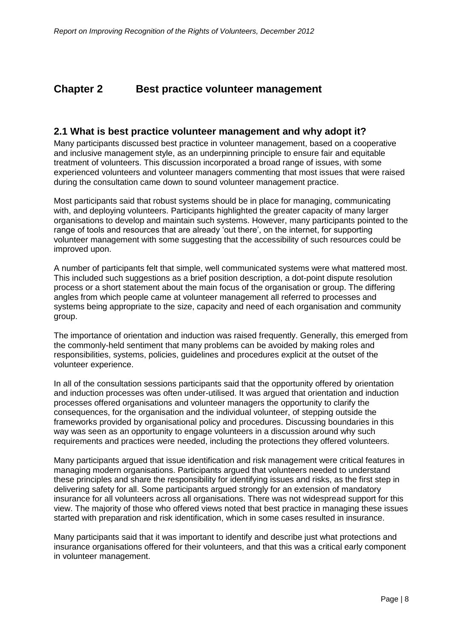# <span id="page-7-0"></span>**Chapter 2 Best practice volunteer management**

#### <span id="page-7-1"></span>**2.1 What is best practice volunteer management and why adopt it?**

Many participants discussed best practice in volunteer management, based on a cooperative and inclusive management style, as an underpinning principle to ensure fair and equitable treatment of volunteers. This discussion incorporated a broad range of issues, with some experienced volunteers and volunteer managers commenting that most issues that were raised during the consultation came down to sound volunteer management practice.

Most participants said that robust systems should be in place for managing, communicating with, and deploying volunteers. Participants highlighted the greater capacity of many larger organisations to develop and maintain such systems. However, many participants pointed to the range of tools and resources that are already 'out there', on the internet, for supporting volunteer management with some suggesting that the accessibility of such resources could be improved upon.

A number of participants felt that simple, well communicated systems were what mattered most. This included such suggestions as a brief position description, a dot-point dispute resolution process or a short statement about the main focus of the organisation or group. The differing angles from which people came at volunteer management all referred to processes and systems being appropriate to the size, capacity and need of each organisation and community group.

The importance of orientation and induction was raised frequently. Generally, this emerged from the commonly-held sentiment that many problems can be avoided by making roles and responsibilities, systems, policies, guidelines and procedures explicit at the outset of the volunteer experience.

In all of the consultation sessions participants said that the opportunity offered by orientation and induction processes was often under-utilised. It was argued that orientation and induction processes offered organisations and volunteer managers the opportunity to clarify the consequences, for the organisation and the individual volunteer, of stepping outside the frameworks provided by organisational policy and procedures. Discussing boundaries in this way was seen as an opportunity to engage volunteers in a discussion around why such requirements and practices were needed, including the protections they offered volunteers.

Many participants argued that issue identification and risk management were critical features in managing modern organisations. Participants argued that volunteers needed to understand these principles and share the responsibility for identifying issues and risks, as the first step in delivering safety for all. Some participants argued strongly for an extension of mandatory insurance for all volunteers across all organisations. There was not widespread support for this view. The majority of those who offered views noted that best practice in managing these issues started with preparation and risk identification, which in some cases resulted in insurance.

Many participants said that it was important to identify and describe just what protections and insurance organisations offered for their volunteers, and that this was a critical early component in volunteer management.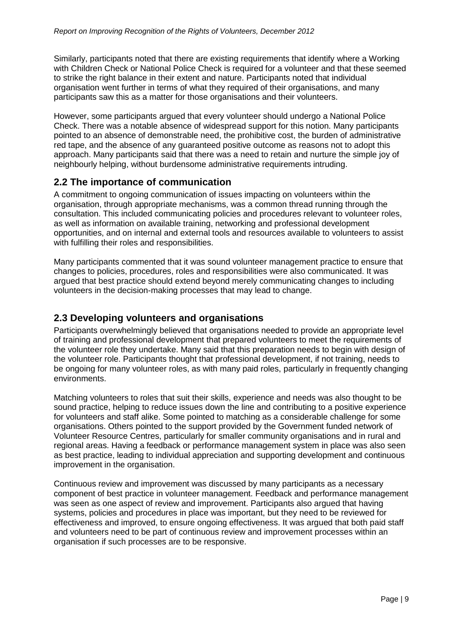Similarly, participants noted that there are existing requirements that identify where a Working with Children Check or National Police Check is required for a volunteer and that these seemed to strike the right balance in their extent and nature. Participants noted that individual organisation went further in terms of what they required of their organisations, and many participants saw this as a matter for those organisations and their volunteers.

However, some participants argued that every volunteer should undergo a National Police Check. There was a notable absence of widespread support for this notion. Many participants pointed to an absence of demonstrable need, the prohibitive cost, the burden of administrative red tape, and the absence of any guaranteed positive outcome as reasons not to adopt this approach. Many participants said that there was a need to retain and nurture the simple joy of neighbourly helping, without burdensome administrative requirements intruding.

# <span id="page-8-0"></span>**2.2 The importance of communication**

A commitment to ongoing communication of issues impacting on volunteers within the organisation, through appropriate mechanisms, was a common thread running through the consultation. This included communicating policies and procedures relevant to volunteer roles, as well as information on available training, networking and professional development opportunities, and on internal and external tools and resources available to volunteers to assist with fulfilling their roles and responsibilities.

Many participants commented that it was sound volunteer management practice to ensure that changes to policies, procedures, roles and responsibilities were also communicated. It was argued that best practice should extend beyond merely communicating changes to including volunteers in the decision-making processes that may lead to change.

# <span id="page-8-1"></span>**2.3 Developing volunteers and organisations**

Participants overwhelmingly believed that organisations needed to provide an appropriate level of training and professional development that prepared volunteers to meet the requirements of the volunteer role they undertake. Many said that this preparation needs to begin with design of the volunteer role. Participants thought that professional development, if not training, needs to be ongoing for many volunteer roles, as with many paid roles, particularly in frequently changing environments.

Matching volunteers to roles that suit their skills, experience and needs was also thought to be sound practice, helping to reduce issues down the line and contributing to a positive experience for volunteers and staff alike. Some pointed to matching as a considerable challenge for some organisations. Others pointed to the support provided by the Government funded network of Volunteer Resource Centres, particularly for smaller community organisations and in rural and regional areas. Having a feedback or performance management system in place was also seen as best practice, leading to individual appreciation and supporting development and continuous improvement in the organisation.

Continuous review and improvement was discussed by many participants as a necessary component of best practice in volunteer management. Feedback and performance management was seen as one aspect of review and improvement. Participants also argued that having systems, policies and procedures in place was important, but they need to be reviewed for effectiveness and improved, to ensure ongoing effectiveness. It was argued that both paid staff and volunteers need to be part of continuous review and improvement processes within an organisation if such processes are to be responsive.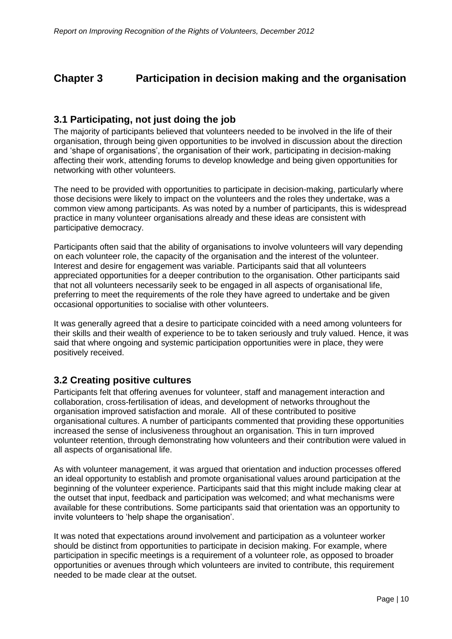# <span id="page-9-0"></span>**Chapter 3 Participation in decision making and the organisation**

# <span id="page-9-1"></span>**3.1 Participating, not just doing the job**

The majority of participants believed that volunteers needed to be involved in the life of their organisation, through being given opportunities to be involved in discussion about the direction and 'shape of organisations', the organisation of their work, participating in decision-making affecting their work, attending forums to develop knowledge and being given opportunities for networking with other volunteers.

The need to be provided with opportunities to participate in decision-making, particularly where those decisions were likely to impact on the volunteers and the roles they undertake, was a common view among participants. As was noted by a number of participants, this is widespread practice in many volunteer organisations already and these ideas are consistent with participative democracy.

Participants often said that the ability of organisations to involve volunteers will vary depending on each volunteer role, the capacity of the organisation and the interest of the volunteer. Interest and desire for engagement was variable. Participants said that all volunteers appreciated opportunities for a deeper contribution to the organisation. Other participants said that not all volunteers necessarily seek to be engaged in all aspects of organisational life, preferring to meet the requirements of the role they have agreed to undertake and be given occasional opportunities to socialise with other volunteers.

It was generally agreed that a desire to participate coincided with a need among volunteers for their skills and their wealth of experience to be to taken seriously and truly valued. Hence, it was said that where ongoing and systemic participation opportunities were in place, they were positively received.

# <span id="page-9-2"></span>**3.2 Creating positive cultures**

Participants felt that offering avenues for volunteer, staff and management interaction and collaboration, cross-fertilisation of ideas, and development of networks throughout the organisation improved satisfaction and morale. All of these contributed to positive organisational cultures. A number of participants commented that providing these opportunities increased the sense of inclusiveness throughout an organisation. This in turn improved volunteer retention, through demonstrating how volunteers and their contribution were valued in all aspects of organisational life.

As with volunteer management, it was argued that orientation and induction processes offered an ideal opportunity to establish and promote organisational values around participation at the beginning of the volunteer experience. Participants said that this might include making clear at the outset that input, feedback and participation was welcomed; and what mechanisms were available for these contributions. Some participants said that orientation was an opportunity to invite volunteers to 'help shape the organisation'.

It was noted that expectations around involvement and participation as a volunteer worker should be distinct from opportunities to participate in decision making. For example, where participation in specific meetings is a requirement of a volunteer role, as opposed to broader opportunities or avenues through which volunteers are invited to contribute, this requirement needed to be made clear at the outset.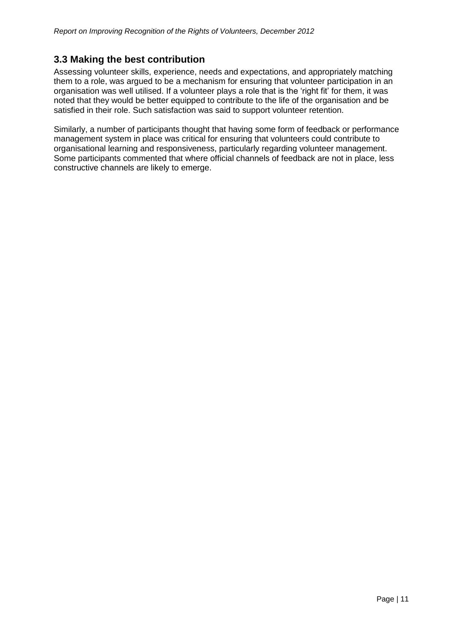# <span id="page-10-0"></span>**3.3 Making the best contribution**

Assessing volunteer skills, experience, needs and expectations, and appropriately matching them to a role, was argued to be a mechanism for ensuring that volunteer participation in an organisation was well utilised. If a volunteer plays a role that is the 'right fit' for them, it was noted that they would be better equipped to contribute to the life of the organisation and be satisfied in their role. Such satisfaction was said to support volunteer retention.

Similarly, a number of participants thought that having some form of feedback or performance management system in place was critical for ensuring that volunteers could contribute to organisational learning and responsiveness, particularly regarding volunteer management. Some participants commented that where official channels of feedback are not in place, less constructive channels are likely to emerge.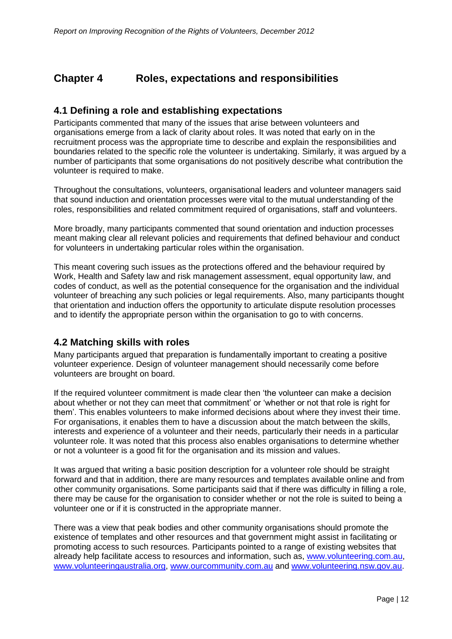# <span id="page-11-0"></span>**Chapter 4 Roles, expectations and responsibilities**

# <span id="page-11-1"></span>**4.1 Defining a role and establishing expectations**

Participants commented that many of the issues that arise between volunteers and organisations emerge from a lack of clarity about roles. It was noted that early on in the recruitment process was the appropriate time to describe and explain the responsibilities and boundaries related to the specific role the volunteer is undertaking. Similarly, it was argued by a number of participants that some organisations do not positively describe what contribution the volunteer is required to make.

Throughout the consultations, volunteers, organisational leaders and volunteer managers said that sound induction and orientation processes were vital to the mutual understanding of the roles, responsibilities and related commitment required of organisations, staff and volunteers.

More broadly, many participants commented that sound orientation and induction processes meant making clear all relevant policies and requirements that defined behaviour and conduct for volunteers in undertaking particular roles within the organisation.

This meant covering such issues as the protections offered and the behaviour required by Work, Health and Safety law and risk management assessment, equal opportunity law, and codes of conduct, as well as the potential consequence for the organisation and the individual volunteer of breaching any such policies or legal requirements. Also, many participants thought that orientation and induction offers the opportunity to articulate dispute resolution processes and to identify the appropriate person within the organisation to go to with concerns.

# <span id="page-11-2"></span>**4.2 Matching skills with roles**

Many participants argued that preparation is fundamentally important to creating a positive volunteer experience. Design of volunteer management should necessarily come before volunteers are brought on board.

If the required volunteer commitment is made clear then 'the volunteer can make a decision about whether or not they can meet that commitment' or 'whether or not that role is right for them'. This enables volunteers to make informed decisions about where they invest their time. For organisations, it enables them to have a discussion about the match between the skills, interests and experience of a volunteer and their needs, particularly their needs in a particular volunteer role. It was noted that this process also enables organisations to determine whether or not a volunteer is a good fit for the organisation and its mission and values.

It was argued that writing a basic position description for a volunteer role should be straight forward and that in addition, there are many resources and templates available online and from other community organisations. Some participants said that if there was difficulty in filling a role, there may be cause for the organisation to consider whether or not the role is suited to being a volunteer one or if it is constructed in the appropriate manner.

There was a view that peak bodies and other community organisations should promote the existence of templates and other resources and that government might assist in facilitating or promoting access to such resources. Participants pointed to a range of existing websites that already help facilitate access to resources and information, such as, [www.volunteering.com.au,](http://www.volunteering.com.au/) [www.volunteeringaustralia.org,](http://www.volunteeringaustralia.org/) [www.ourcommunity.com.au](http://www.ourcommunity.com.au/) and [www.volunteering.nsw.gov.au.](http://www.volunteering.nsw.gov.au/)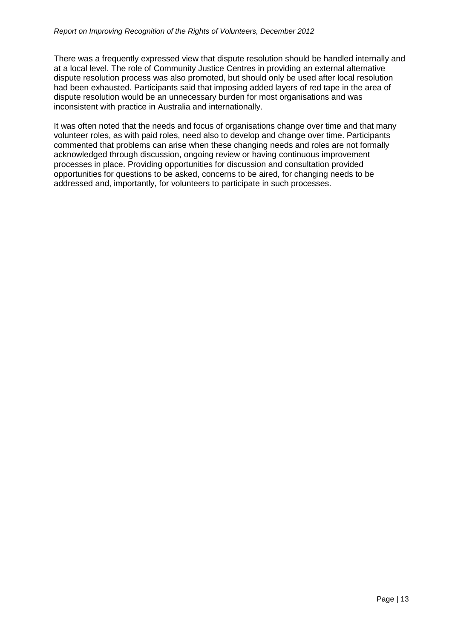There was a frequently expressed view that dispute resolution should be handled internally and at a local level. The role of Community Justice Centres in providing an external alternative dispute resolution process was also promoted, but should only be used after local resolution had been exhausted. Participants said that imposing added layers of red tape in the area of dispute resolution would be an unnecessary burden for most organisations and was inconsistent with practice in Australia and internationally.

It was often noted that the needs and focus of organisations change over time and that many volunteer roles, as with paid roles, need also to develop and change over time. Participants commented that problems can arise when these changing needs and roles are not formally acknowledged through discussion, ongoing review or having continuous improvement processes in place. Providing opportunities for discussion and consultation provided opportunities for questions to be asked, concerns to be aired, for changing needs to be addressed and, importantly, for volunteers to participate in such processes.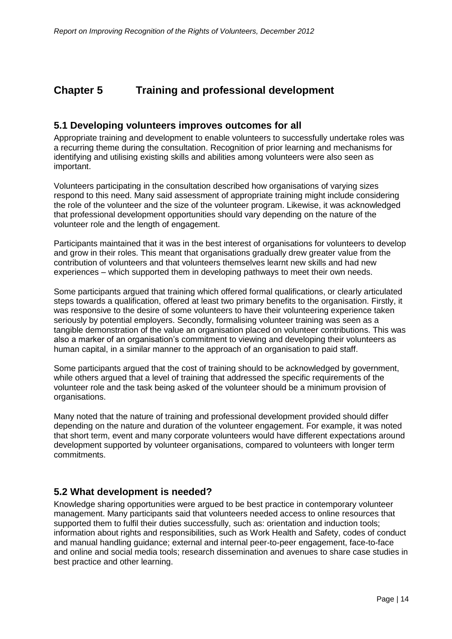# <span id="page-13-0"></span>**Chapter 5 Training and professional development**

## <span id="page-13-1"></span>**5.1 Developing volunteers improves outcomes for all**

Appropriate training and development to enable volunteers to successfully undertake roles was a recurring theme during the consultation. Recognition of prior learning and mechanisms for identifying and utilising existing skills and abilities among volunteers were also seen as important.

Volunteers participating in the consultation described how organisations of varying sizes respond to this need. Many said assessment of appropriate training might include considering the role of the volunteer and the size of the volunteer program. Likewise, it was acknowledged that professional development opportunities should vary depending on the nature of the volunteer role and the length of engagement.

Participants maintained that it was in the best interest of organisations for volunteers to develop and grow in their roles. This meant that organisations gradually drew greater value from the contribution of volunteers and that volunteers themselves learnt new skills and had new experiences – which supported them in developing pathways to meet their own needs.

Some participants argued that training which offered formal qualifications, or clearly articulated steps towards a qualification, offered at least two primary benefits to the organisation. Firstly, it was responsive to the desire of some volunteers to have their volunteering experience taken seriously by potential employers. Secondly, formalising volunteer training was seen as a tangible demonstration of the value an organisation placed on volunteer contributions. This was also a marker of an organisation's commitment to viewing and developing their volunteers as human capital, in a similar manner to the approach of an organisation to paid staff.

Some participants argued that the cost of training should to be acknowledged by government, while others argued that a level of training that addressed the specific requirements of the volunteer role and the task being asked of the volunteer should be a minimum provision of organisations.

Many noted that the nature of training and professional development provided should differ depending on the nature and duration of the volunteer engagement. For example, it was noted that short term, event and many corporate volunteers would have different expectations around development supported by volunteer organisations, compared to volunteers with longer term commitments.

# <span id="page-13-2"></span>**5.2 What development is needed?**

Knowledge sharing opportunities were argued to be best practice in contemporary volunteer management. Many participants said that volunteers needed access to online resources that supported them to fulfil their duties successfully, such as: orientation and induction tools; information about rights and responsibilities, such as Work Health and Safety, codes of conduct and manual handling guidance; external and internal peer-to-peer engagement, face-to-face and online and social media tools; research dissemination and avenues to share case studies in best practice and other learning.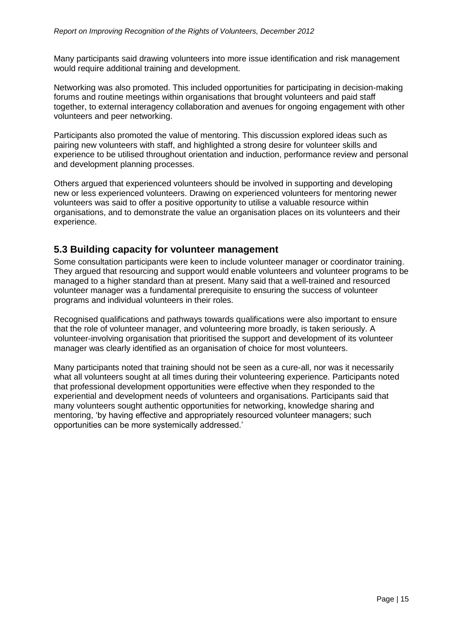Many participants said drawing volunteers into more issue identification and risk management would require additional training and development.

Networking was also promoted. This included opportunities for participating in decision-making forums and routine meetings within organisations that brought volunteers and paid staff together, to external interagency collaboration and avenues for ongoing engagement with other volunteers and peer networking.

Participants also promoted the value of mentoring. This discussion explored ideas such as pairing new volunteers with staff, and highlighted a strong desire for volunteer skills and experience to be utilised throughout orientation and induction, performance review and personal and development planning processes.

Others argued that experienced volunteers should be involved in supporting and developing new or less experienced volunteers. Drawing on experienced volunteers for mentoring newer volunteers was said to offer a positive opportunity to utilise a valuable resource within organisations, and to demonstrate the value an organisation places on its volunteers and their experience.

#### <span id="page-14-0"></span>**5.3 Building capacity for volunteer management**

Some consultation participants were keen to include volunteer manager or coordinator training. They argued that resourcing and support would enable volunteers and volunteer programs to be managed to a higher standard than at present. Many said that a well-trained and resourced volunteer manager was a fundamental prerequisite to ensuring the success of volunteer programs and individual volunteers in their roles.

Recognised qualifications and pathways towards qualifications were also important to ensure that the role of volunteer manager, and volunteering more broadly, is taken seriously. A volunteer-involving organisation that prioritised the support and development of its volunteer manager was clearly identified as an organisation of choice for most volunteers.

Many participants noted that training should not be seen as a cure-all, nor was it necessarily what all volunteers sought at all times during their volunteering experience. Participants noted that professional development opportunities were effective when they responded to the experiential and development needs of volunteers and organisations. Participants said that many volunteers sought authentic opportunities for networking, knowledge sharing and mentoring, 'by having effective and appropriately resourced volunteer managers; such opportunities can be more systemically addressed.'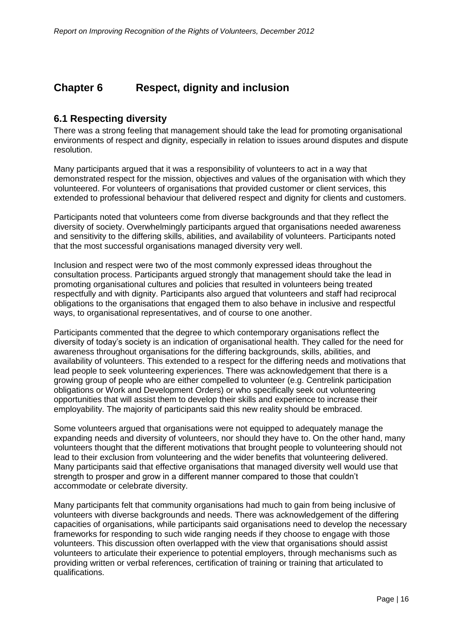# <span id="page-15-0"></span>**Chapter 6 Respect, dignity and inclusion**

# <span id="page-15-1"></span>**6.1 Respecting diversity**

There was a strong feeling that management should take the lead for promoting organisational environments of respect and dignity, especially in relation to issues around disputes and dispute resolution.

Many participants argued that it was a responsibility of volunteers to act in a way that demonstrated respect for the mission, objectives and values of the organisation with which they volunteered. For volunteers of organisations that provided customer or client services, this extended to professional behaviour that delivered respect and dignity for clients and customers.

Participants noted that volunteers come from diverse backgrounds and that they reflect the diversity of society. Overwhelmingly participants argued that organisations needed awareness and sensitivity to the differing skills, abilities, and availability of volunteers. Participants noted that the most successful organisations managed diversity very well.

Inclusion and respect were two of the most commonly expressed ideas throughout the consultation process. Participants argued strongly that management should take the lead in promoting organisational cultures and policies that resulted in volunteers being treated respectfully and with dignity. Participants also argued that volunteers and staff had reciprocal obligations to the organisations that engaged them to also behave in inclusive and respectful ways, to organisational representatives, and of course to one another.

Participants commented that the degree to which contemporary organisations reflect the diversity of today's society is an indication of organisational health. They called for the need for awareness throughout organisations for the differing backgrounds, skills, abilities, and availability of volunteers. This extended to a respect for the differing needs and motivations that lead people to seek volunteering experiences. There was acknowledgement that there is a growing group of people who are either compelled to volunteer (e.g. Centrelink participation obligations or Work and Development Orders) or who specifically seek out volunteering opportunities that will assist them to develop their skills and experience to increase their employability. The majority of participants said this new reality should be embraced.

Some volunteers argued that organisations were not equipped to adequately manage the expanding needs and diversity of volunteers, nor should they have to. On the other hand, many volunteers thought that the different motivations that brought people to volunteering should not lead to their exclusion from volunteering and the wider benefits that volunteering delivered. Many participants said that effective organisations that managed diversity well would use that strength to prosper and grow in a different manner compared to those that couldn't accommodate or celebrate diversity.

Many participants felt that community organisations had much to gain from being inclusive of volunteers with diverse backgrounds and needs. There was acknowledgement of the differing capacities of organisations, while participants said organisations need to develop the necessary frameworks for responding to such wide ranging needs if they choose to engage with those volunteers. This discussion often overlapped with the view that organisations should assist volunteers to articulate their experience to potential employers, through mechanisms such as providing written or verbal references, certification of training or training that articulated to qualifications.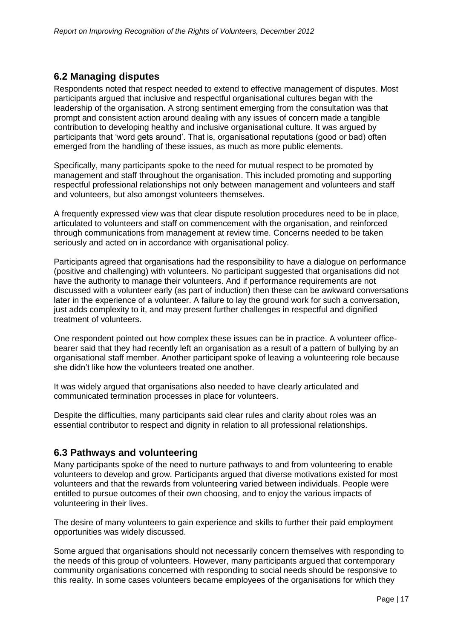# <span id="page-16-0"></span>**6.2 Managing disputes**

Respondents noted that respect needed to extend to effective management of disputes. Most participants argued that inclusive and respectful organisational cultures began with the leadership of the organisation. A strong sentiment emerging from the consultation was that prompt and consistent action around dealing with any issues of concern made a tangible contribution to developing healthy and inclusive organisational culture. It was argued by participants that 'word gets around'. That is, organisational reputations (good or bad) often emerged from the handling of these issues, as much as more public elements.

Specifically, many participants spoke to the need for mutual respect to be promoted by management and staff throughout the organisation. This included promoting and supporting respectful professional relationships not only between management and volunteers and staff and volunteers, but also amongst volunteers themselves.

A frequently expressed view was that clear dispute resolution procedures need to be in place, articulated to volunteers and staff on commencement with the organisation, and reinforced through communications from management at review time. Concerns needed to be taken seriously and acted on in accordance with organisational policy.

Participants agreed that organisations had the responsibility to have a dialogue on performance (positive and challenging) with volunteers. No participant suggested that organisations did not have the authority to manage their volunteers. And if performance requirements are not discussed with a volunteer early (as part of induction) then these can be awkward conversations later in the experience of a volunteer. A failure to lay the ground work for such a conversation, just adds complexity to it, and may present further challenges in respectful and dignified treatment of volunteers.

One respondent pointed out how complex these issues can be in practice. A volunteer officebearer said that they had recently left an organisation as a result of a pattern of bullying by an organisational staff member. Another participant spoke of leaving a volunteering role because she didn't like how the volunteers treated one another.

It was widely argued that organisations also needed to have clearly articulated and communicated termination processes in place for volunteers.

Despite the difficulties, many participants said clear rules and clarity about roles was an essential contributor to respect and dignity in relation to all professional relationships.

# <span id="page-16-1"></span>**6.3 Pathways and volunteering**

Many participants spoke of the need to nurture pathways to and from volunteering to enable volunteers to develop and grow. Participants argued that diverse motivations existed for most volunteers and that the rewards from volunteering varied between individuals. People were entitled to pursue outcomes of their own choosing, and to enjoy the various impacts of volunteering in their lives.

The desire of many volunteers to gain experience and skills to further their paid employment opportunities was widely discussed.

Some argued that organisations should not necessarily concern themselves with responding to the needs of this group of volunteers. However, many participants argued that contemporary community organisations concerned with responding to social needs should be responsive to this reality. In some cases volunteers became employees of the organisations for which they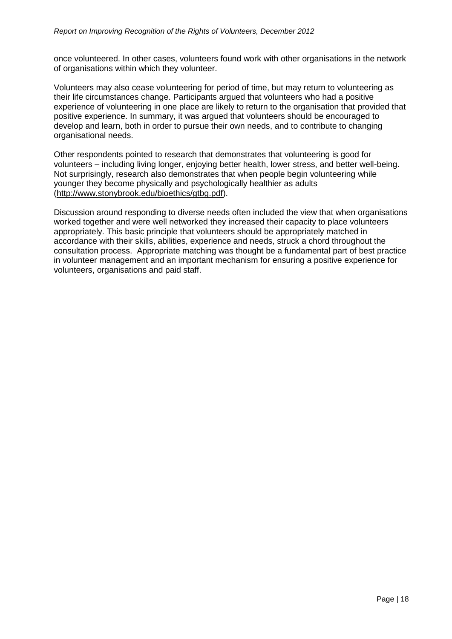once volunteered. In other cases, volunteers found work with other organisations in the network of organisations within which they volunteer.

Volunteers may also cease volunteering for period of time, but may return to volunteering as their life circumstances change. Participants argued that volunteers who had a positive experience of volunteering in one place are likely to return to the organisation that provided that positive experience. In summary, it was argued that volunteers should be encouraged to develop and learn, both in order to pursue their own needs, and to contribute to changing organisational needs.

Other respondents pointed to research that demonstrates that volunteering is good for volunteers – including living longer, enjoying better health, lower stress, and better well-being. Not surprisingly, research also demonstrates that when people begin volunteering while younger they become physically and psychologically healthier as adults [\(http://www.stonybrook.edu/bioethics/gtbg.pdf\)](http://www.stonybrook.edu/bioethics/gtbg.pdf).

Discussion around responding to diverse needs often included the view that when organisations worked together and were well networked they increased their capacity to place volunteers appropriately. This basic principle that volunteers should be appropriately matched in accordance with their skills, abilities, experience and needs, struck a chord throughout the consultation process. Appropriate matching was thought be a fundamental part of best practice in volunteer management and an important mechanism for ensuring a positive experience for volunteers, organisations and paid staff.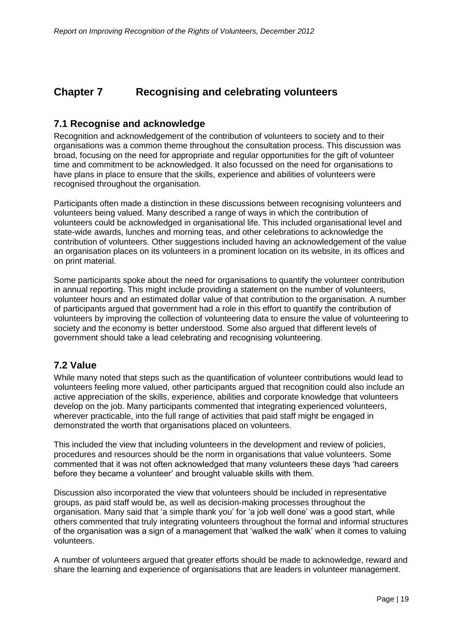# <span id="page-18-0"></span>**Chapter 7 Recognising and celebrating volunteers**

#### <span id="page-18-1"></span>**7.1 Recognise and acknowledge**

Recognition and acknowledgement of the contribution of volunteers to society and to their organisations was a common theme throughout the consultation process. This discussion was broad, focusing on the need for appropriate and regular opportunities for the gift of volunteer time and commitment to be acknowledged. It also focussed on the need for organisations to have plans in place to ensure that the skills, experience and abilities of volunteers were recognised throughout the organisation.

Participants often made a distinction in these discussions between recognising volunteers and volunteers being valued. Many described a range of ways in which the contribution of volunteers could be acknowledged in organisational life. This included organisational level and state-wide awards, lunches and morning teas, and other celebrations to acknowledge the contribution of volunteers. Other suggestions included having an acknowledgement of the value an organisation places on its volunteers in a prominent location on its website, in its offices and on print material.

Some participants spoke about the need for organisations to quantify the volunteer contribution in annual reporting. This might include providing a statement on the number of volunteers, volunteer hours and an estimated dollar value of that contribution to the organisation. A number of participants argued that government had a role in this effort to quantify the contribution of volunteers by improving the collection of volunteering data to ensure the value of volunteering to society and the economy is better understood. Some also argued that different levels of government should take a lead celebrating and recognising volunteering.

# <span id="page-18-2"></span>**7.2 Value**

While many noted that steps such as the quantification of volunteer contributions would lead to volunteers feeling more valued, other participants argued that recognition could also include an active appreciation of the skills, experience, abilities and corporate knowledge that volunteers develop on the job. Many participants commented that integrating experienced volunteers, wherever practicable, into the full range of activities that paid staff might be engaged in demonstrated the worth that organisations placed on volunteers.

This included the view that including volunteers in the development and review of policies, procedures and resources should be the norm in organisations that value volunteers. Some commented that it was not often acknowledged that many volunteers these days 'had careers before they became a volunteer' and brought valuable skills with them.

Discussion also incorporated the view that volunteers should be included in representative groups, as paid staff would be, as well as decision-making processes throughout the organisation. Many said that 'a simple thank you' for 'a job well done' was a good start, while others commented that truly integrating volunteers throughout the formal and informal structures of the organisation was a sign of a management that 'walked the walk' when it comes to valuing volunteers.

A number of volunteers argued that greater efforts should be made to acknowledge, reward and share the learning and experience of organisations that are leaders in volunteer management.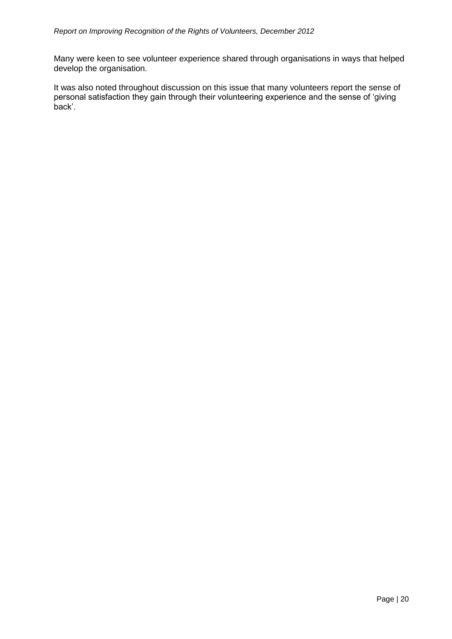Many were keen to see volunteer experience shared through organisations in ways that helped develop the organisation.

It was also noted throughout discussion on this issue that many volunteers report the sense of personal satisfaction they gain through their volunteering experience and the sense of 'giving back'.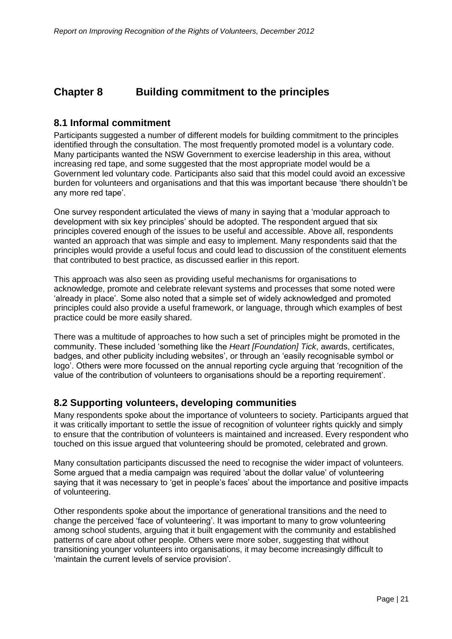# <span id="page-20-0"></span>**Chapter 8 Building commitment to the principles**

## <span id="page-20-1"></span>**8.1 Informal commitment**

Participants suggested a number of different models for building commitment to the principles identified through the consultation. The most frequently promoted model is a voluntary code. Many participants wanted the NSW Government to exercise leadership in this area, without increasing red tape, and some suggested that the most appropriate model would be a Government led voluntary code. Participants also said that this model could avoid an excessive burden for volunteers and organisations and that this was important because 'there shouldn't be any more red tape'.

One survey respondent articulated the views of many in saying that a 'modular approach to development with six key principles' should be adopted. The respondent argued that six principles covered enough of the issues to be useful and accessible. Above all, respondents wanted an approach that was simple and easy to implement. Many respondents said that the principles would provide a useful focus and could lead to discussion of the constituent elements that contributed to best practice, as discussed earlier in this report.

This approach was also seen as providing useful mechanisms for organisations to acknowledge, promote and celebrate relevant systems and processes that some noted were 'already in place'. Some also noted that a simple set of widely acknowledged and promoted principles could also provide a useful framework, or language, through which examples of best practice could be more easily shared.

There was a multitude of approaches to how such a set of principles might be promoted in the community. These included 'something like the *Heart [Foundation] Tick*, awards, certificates, badges, and other publicity including websites', or through an 'easily recognisable symbol or logo'. Others were more focussed on the annual reporting cycle arguing that 'recognition of the value of the contribution of volunteers to organisations should be a reporting requirement'.

# <span id="page-20-2"></span>**8.2 Supporting volunteers, developing communities**

Many respondents spoke about the importance of volunteers to society. Participants argued that it was critically important to settle the issue of recognition of volunteer rights quickly and simply to ensure that the contribution of volunteers is maintained and increased. Every respondent who touched on this issue argued that volunteering should be promoted, celebrated and grown.

Many consultation participants discussed the need to recognise the wider impact of volunteers. Some argued that a media campaign was required 'about the dollar value' of volunteering saying that it was necessary to 'get in people's faces' about the importance and positive impacts of volunteering.

Other respondents spoke about the importance of generational transitions and the need to change the perceived 'face of volunteering'. It was important to many to grow volunteering among school students, arguing that it built engagement with the community and established patterns of care about other people. Others were more sober, suggesting that without transitioning younger volunteers into organisations, it may become increasingly difficult to 'maintain the current levels of service provision'.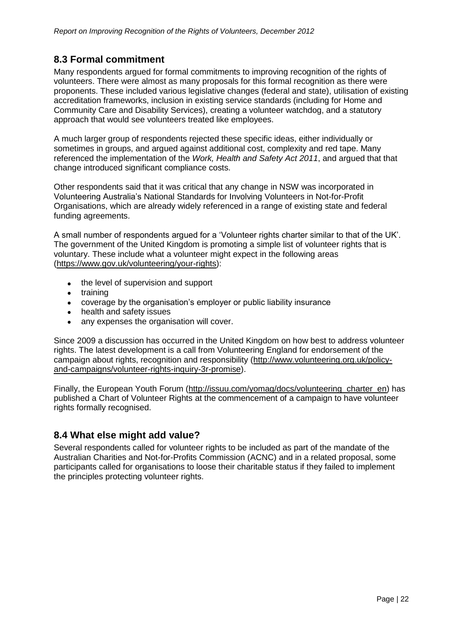# <span id="page-21-0"></span>**8.3 Formal commitment**

Many respondents argued for formal commitments to improving recognition of the rights of volunteers. There were almost as many proposals for this formal recognition as there were proponents. These included various legislative changes (federal and state), utilisation of existing accreditation frameworks, inclusion in existing service standards (including for Home and Community Care and Disability Services), creating a volunteer watchdog, and a statutory approach that would see volunteers treated like employees.

A much larger group of respondents rejected these specific ideas, either individually or sometimes in groups, and argued against additional cost, complexity and red tape. Many referenced the implementation of the *Work, Health and Safety Act 2011*, and argued that that change introduced significant compliance costs.

Other respondents said that it was critical that any change in NSW was incorporated in Volunteering Australia's National Standards for Involving Volunteers in Not-for-Profit Organisations, which are already widely referenced in a range of existing state and federal funding agreements.

A small number of respondents argued for a 'Volunteer rights charter similar to that of the UK'. The government of the United Kingdom is promoting a simple list of volunteer rights that is voluntary. These include what a volunteer might expect in the following areas [\(https://www.gov.uk/volunteering/your-rights\)](https://www.gov.uk/volunteering/your-rights):

- the level of supervision and support
- training
- coverage by the organisation's employer or public liability insurance
- health and safety issues
- any expenses the organisation will cover.

Since 2009 a discussion has occurred in the United Kingdom on how best to address volunteer rights. The latest development is a call from Volunteering England for endorsement of the campaign about rights, recognition and responsibility [\(http://www.volunteering.org.uk/policy](http://www.volunteering.org.uk/policy-and-campaigns/volunteer-rights-inquiry-3r-promise)[and-campaigns/volunteer-rights-inquiry-3r-promise\)](http://www.volunteering.org.uk/policy-and-campaigns/volunteer-rights-inquiry-3r-promise).

Finally, the European Youth Forum [\(http://issuu.com/yomag/docs/volunteering\\_charter\\_en\)](http://issuu.com/yomag/docs/volunteering_charter_en) has published a Chart of Volunteer Rights at the commencement of a campaign to have volunteer rights formally recognised.

# <span id="page-21-1"></span>**8.4 What else might add value?**

Several respondents called for volunteer rights to be included as part of the mandate of the Australian Charities and Not-for-Profits Commission (ACNC) and in a related proposal, some participants called for organisations to loose their charitable status if they failed to implement the principles protecting volunteer rights.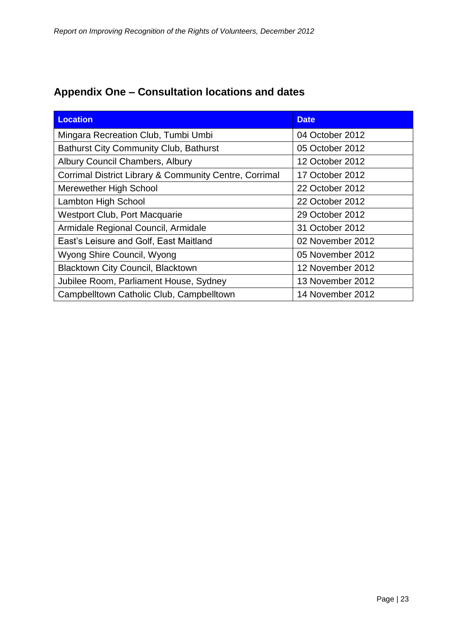| <b>Location</b>                                        | <b>Date</b>      |
|--------------------------------------------------------|------------------|
| Mingara Recreation Club, Tumbi Umbi                    | 04 October 2012  |
| <b>Bathurst City Community Club, Bathurst</b>          | 05 October 2012  |
| Albury Council Chambers, Albury                        | 12 October 2012  |
| Corrimal District Library & Community Centre, Corrimal | 17 October 2012  |
| Merewether High School                                 | 22 October 2012  |
| <b>Lambton High School</b>                             | 22 October 2012  |
| <b>Westport Club, Port Macquarie</b>                   | 29 October 2012  |
| Armidale Regional Council, Armidale                    | 31 October 2012  |
| East's Leisure and Golf, East Maitland                 | 02 November 2012 |
| Wyong Shire Council, Wyong                             | 05 November 2012 |
| <b>Blacktown City Council, Blacktown</b>               | 12 November 2012 |
| Jubilee Room, Parliament House, Sydney                 | 13 November 2012 |
| Campbelltown Catholic Club, Campbelltown               | 14 November 2012 |

# <span id="page-22-0"></span>**Appendix One – Consultation locations and dates**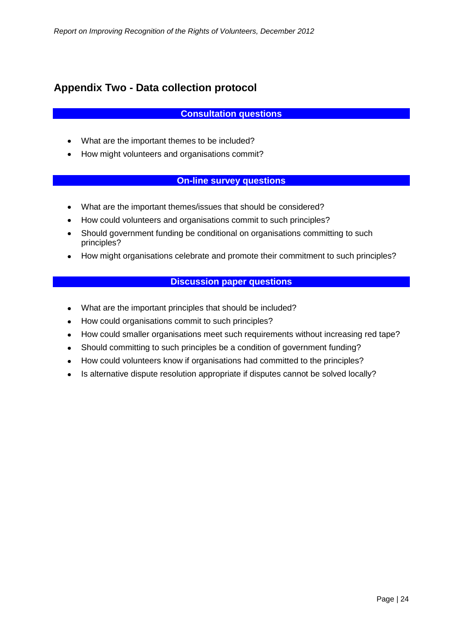# <span id="page-23-0"></span>**Appendix Two - Data collection protocol**

#### **Consultation questions**

- What are the important themes to be included?
- How might volunteers and organisations commit?

#### **On-line survey questions**

- What are the important themes/issues that should be considered?
- How could volunteers and organisations commit to such principles?
- Should government funding be conditional on organisations committing to such principles?
- How might organisations celebrate and promote their commitment to such principles?

#### **Discussion paper questions**

- What are the important principles that should be included?
- How could organisations commit to such principles?
- How could smaller organisations meet such requirements without increasing red tape?
- Should committing to such principles be a condition of government funding?
- How could volunteers know if organisations had committed to the principles?
- Is alternative dispute resolution appropriate if disputes cannot be solved locally?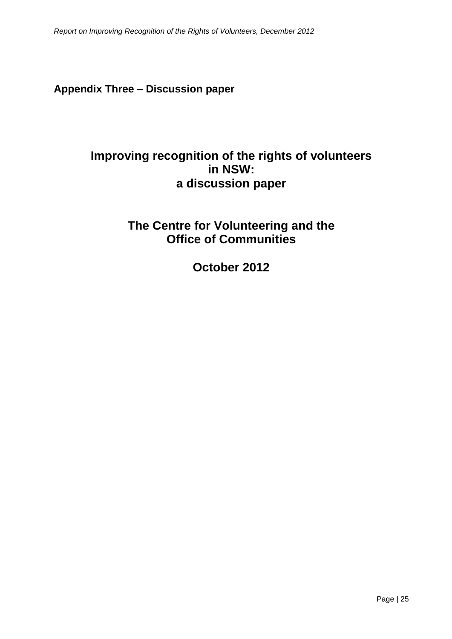# <span id="page-24-0"></span>**Appendix Three – Discussion paper**

# **Improving recognition of the rights of volunteers in NSW: a discussion paper**

# **The Centre for Volunteering and the Office of Communities**

**October 2012**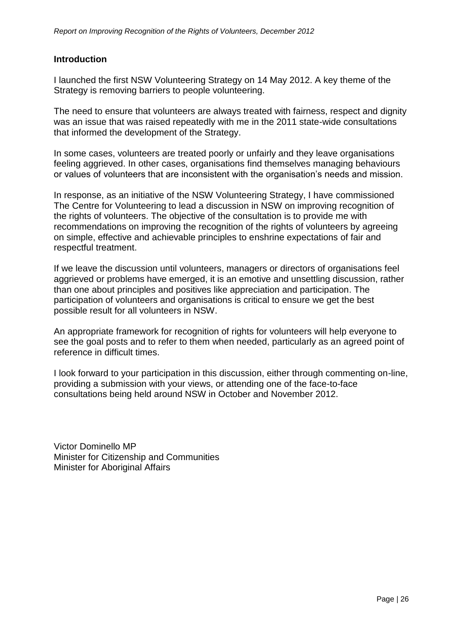#### **Introduction**

I launched the first NSW Volunteering Strategy on 14 May 2012. A key theme of the Strategy is removing barriers to people volunteering.

The need to ensure that volunteers are always treated with fairness, respect and dignity was an issue that was raised repeatedly with me in the 2011 state-wide consultations that informed the development of the Strategy.

In some cases, volunteers are treated poorly or unfairly and they leave organisations feeling aggrieved. In other cases, organisations find themselves managing behaviours or values of volunteers that are inconsistent with the organisation's needs and mission.

In response, as an initiative of the NSW Volunteering Strategy, I have commissioned The Centre for Volunteering to lead a discussion in NSW on improving recognition of the rights of volunteers. The objective of the consultation is to provide me with recommendations on improving the recognition of the rights of volunteers by agreeing on simple, effective and achievable principles to enshrine expectations of fair and respectful treatment.

If we leave the discussion until volunteers, managers or directors of organisations feel aggrieved or problems have emerged, it is an emotive and unsettling discussion, rather than one about principles and positives like appreciation and participation. The participation of volunteers and organisations is critical to ensure we get the best possible result for all volunteers in NSW.

An appropriate framework for recognition of rights for volunteers will help everyone to see the goal posts and to refer to them when needed, particularly as an agreed point of reference in difficult times.

I look forward to your participation in this discussion, either through commenting on-line, providing a submission with your views, or attending one of the face-to-face consultations being held around NSW in October and November 2012.

Victor Dominello MP Minister for Citizenship and Communities Minister for Aboriginal Affairs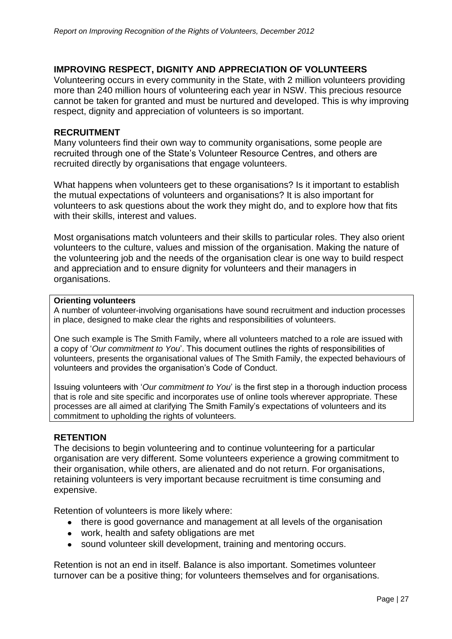#### **IMPROVING RESPECT, DIGNITY AND APPRECIATION OF VOLUNTEERS**

Volunteering occurs in every community in the State, with 2 million volunteers providing more than 240 million hours of volunteering each year in NSW. This precious resource cannot be taken for granted and must be nurtured and developed. This is why improving respect, dignity and appreciation of volunteers is so important.

#### **RECRUITMENT**

Many volunteers find their own way to community organisations, some people are recruited through one of the State's Volunteer Resource Centres, and others are recruited directly by organisations that engage volunteers.

What happens when volunteers get to these organisations? Is it important to establish the mutual expectations of volunteers and organisations? It is also important for volunteers to ask questions about the work they might do, and to explore how that fits with their skills, interest and values.

Most organisations match volunteers and their skills to particular roles. They also orient volunteers to the culture, values and mission of the organisation. Making the nature of the volunteering job and the needs of the organisation clear is one way to build respect and appreciation and to ensure dignity for volunteers and their managers in organisations.

#### **Orienting volunteers**

A number of volunteer-involving organisations have sound recruitment and induction processes in place, designed to make clear the rights and responsibilities of volunteers.

One such example is The Smith Family, where all volunteers matched to a role are issued with a copy of '*Our commitment to You*'. This document outlines the rights of responsibilities of volunteers, presents the organisational values of The Smith Family, the expected behaviours of volunteers and provides the organisation's Code of Conduct.

Issuing volunteers with '*Our commitment to You*' is the first step in a thorough induction process that is role and site specific and incorporates use of online tools wherever appropriate. These processes are all aimed at clarifying The Smith Family's expectations of volunteers and its commitment to upholding the rights of volunteers.

#### **RETENTION**

The decisions to begin volunteering and to continue volunteering for a particular organisation are very different. Some volunteers experience a growing commitment to their organisation, while others, are alienated and do not return. For organisations, retaining volunteers is very important because recruitment is time consuming and expensive.

Retention of volunteers is more likely where:

- there is good governance and management at all levels of the organisation
- work, health and safety obligations are met
- sound volunteer skill development, training and mentoring occurs.

Retention is not an end in itself. Balance is also important. Sometimes volunteer turnover can be a positive thing; for volunteers themselves and for organisations.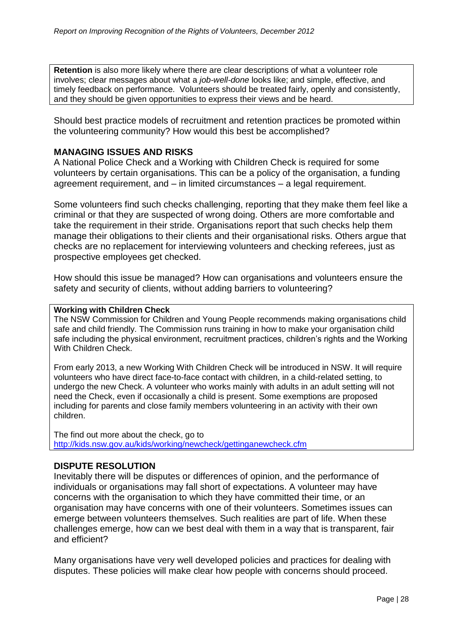**Retention** is also more likely where there are clear descriptions of what a volunteer role involves; clear messages about what a *job-well-done* looks like; and simple, effective, and timely feedback on performance. Volunteers should be treated fairly, openly and consistently, and they should be given opportunities to express their views and be heard.

Should best practice models of recruitment and retention practices be promoted within the volunteering community? How would this best be accomplished?

#### **MANAGING ISSUES AND RISKS**

A National Police Check and a Working with Children Check is required for some volunteers by certain organisations. This can be a policy of the organisation, a funding agreement requirement, and – in limited circumstances – a legal requirement.

Some volunteers find such checks challenging, reporting that they make them feel like a criminal or that they are suspected of wrong doing. Others are more comfortable and take the requirement in their stride. Organisations report that such checks help them manage their obligations to their clients and their organisational risks. Others argue that checks are no replacement for interviewing volunteers and checking referees, just as prospective employees get checked.

How should this issue be managed? How can organisations and volunteers ensure the safety and security of clients, without adding barriers to volunteering?

#### **Working with Children Check**

The NSW Commission for Children and Young People recommends making organisations child safe and child friendly. The Commission runs training in how to make your organisation child safe including the physical environment, recruitment practices, children's rights and the Working With Children Check.

From early 2013, a new Working With Children Check will be introduced in NSW. It will require volunteers who have direct face-to-face contact with children, in a child-related setting, to undergo the new Check. A volunteer who works mainly with adults in an adult setting will not need the Check, even if occasionally a child is present. Some exemptions are proposed including for parents and close family members volunteering in an activity with their own children.

The find out more about the check, go to <http://kids.nsw.gov.au/kids/working/newcheck/gettinganewcheck.cfm>

#### **DISPUTE RESOLUTION**

Inevitably there will be disputes or differences of opinion, and the performance of individuals or organisations may fall short of expectations. A volunteer may have concerns with the organisation to which they have committed their time, or an organisation may have concerns with one of their volunteers. Sometimes issues can emerge between volunteers themselves. Such realities are part of life. When these challenges emerge, how can we best deal with them in a way that is transparent, fair and efficient?

Many organisations have very well developed policies and practices for dealing with disputes. These policies will make clear how people with concerns should proceed.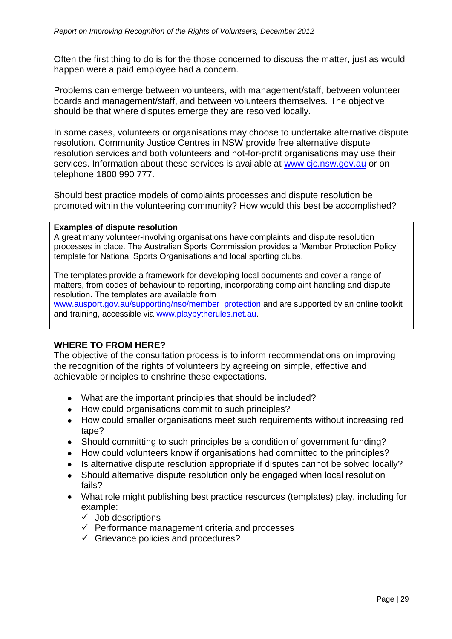Often the first thing to do is for the those concerned to discuss the matter, just as would happen were a paid employee had a concern.

Problems can emerge between volunteers, with management/staff, between volunteer boards and management/staff, and between volunteers themselves. The objective should be that where disputes emerge they are resolved locally.

In some cases, volunteers or organisations may choose to undertake alternative dispute resolution. Community Justice Centres in NSW provide free alternative dispute resolution services and both volunteers and not-for-profit organisations may use their services. Information about these services is available at [www.cjc.nsw.gov.au](http://www.cjc.nsw.gov.au/) or on telephone 1800 990 777.

Should best practice models of complaints processes and dispute resolution be promoted within the volunteering community? How would this best be accomplished?

#### **Examples of dispute resolution**

A great many volunteer-involving organisations have complaints and dispute resolution processes in place. The Australian Sports Commission provides a 'Member Protection Policy' template for National Sports Organisations and local sporting clubs.

The templates provide a framework for developing local documents and cover a range of matters, from codes of behaviour to reporting, incorporating complaint handling and dispute resolution. The templates are available from

[www.ausport.gov.au/supporting/nso/member\\_protection](http://www.ausport.gov.au/supporting/nso/member_protection) and are supported by an online toolkit and training, accessible via [www.playbytherules.net.au.](http://www.playbytherules.net.au/)

#### **WHERE TO FROM HERE?**

The objective of the consultation process is to inform recommendations on improving the recognition of the rights of volunteers by agreeing on simple, effective and achievable principles to enshrine these expectations.

- What are the important principles that should be included?
- How could organisations commit to such principles?
- How could smaller organisations meet such requirements without increasing red tape?
- Should committing to such principles be a condition of government funding?
- How could volunteers know if organisations had committed to the principles?
- Is alternative dispute resolution appropriate if disputes cannot be solved locally?
- Should alternative dispute resolution only be engaged when local resolution fails?
- What role might publishing best practice resources (templates) play, including for example:
	- $\checkmark$  Job descriptions
	- $\checkmark$  Performance management criteria and processes
	- $\checkmark$  Grievance policies and procedures?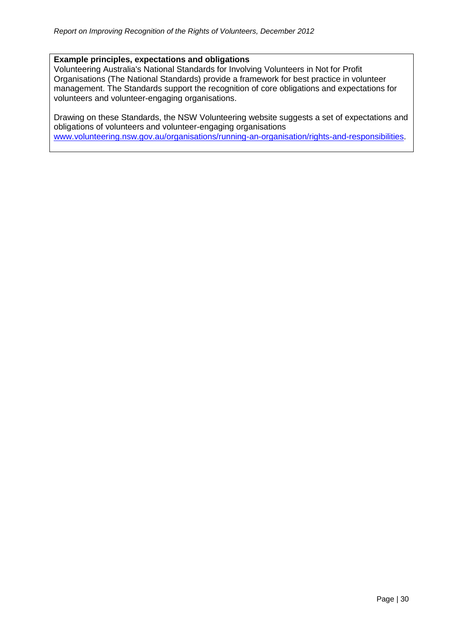#### **Example principles, expectations and obligations**

Volunteering Australia's [National Standards for Involving Volunteers in Not for Profit](http://www.volunteeringaustralia.org/Publications/-National-Standards/The-National-Standards-for-best-practice-in-the-management-of-volunteers.asp)  [Organisations](http://www.volunteeringaustralia.org/Publications/-National-Standards/The-National-Standards-for-best-practice-in-the-management-of-volunteers.asp) (The National Standards) provide a framework for best practice in volunteer management. The Standards support the recognition of core obligations and expectations for volunteers and volunteer-engaging organisations.

Drawing on these Standards, the NSW Volunteering website suggests a set of expectations and obligations of volunteers and volunteer-engaging organisations [www.volunteering.nsw.gov.au/organisations/running-an-organisation/rights-and-responsibilities.](http://www.volunteering.nsw.gov.au/organisations/running-an-organisation/rights-and-responsibilities)